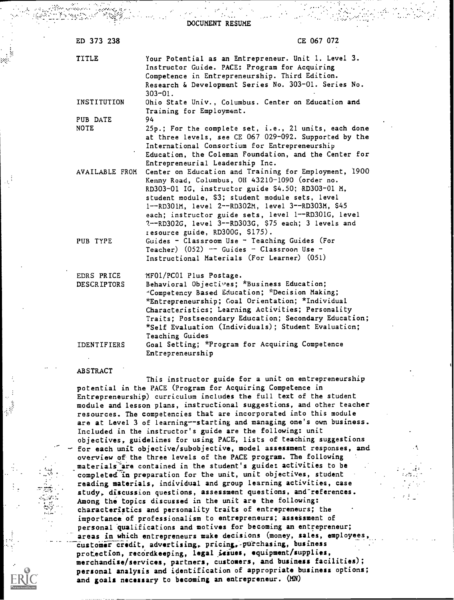| ED 373 238                       | CE 067 072                                                                                                                                                                                                                                                                                                                                                                                                            |
|----------------------------------|-----------------------------------------------------------------------------------------------------------------------------------------------------------------------------------------------------------------------------------------------------------------------------------------------------------------------------------------------------------------------------------------------------------------------|
| TITLE                            | Your Potential as an Entrepreneur. Unit 1. Level 3.<br>Instructor Guide. PACE: Program for Acquiring<br>Competence in Entrepreneurship. Third Edition.<br>Research & Development Series No. 303-01. Series No.<br>$303 - 01$ .                                                                                                                                                                                        |
| INSTITUTION                      | Ohio State Univ., Columbus. Center on Education and<br>Training for Employment.                                                                                                                                                                                                                                                                                                                                       |
| PUB DATE                         | 94                                                                                                                                                                                                                                                                                                                                                                                                                    |
| <b>NOTE</b>                      | 25p.; For the complete set, i.e., 21 units, each done<br>at three levels, see CE 067 029-092. Supported by the<br>International Consortium for Entrepreneurship<br>Education, the Coleman Foundation, and the Center for<br>Entrepreneurial Leadership Inc.                                                                                                                                                           |
| AVAILABLE FROM                   | Center on Education and Training for Employment, 1900<br>Kenny Road, Columbus, OH 43210-1090 (order no.<br>RD303-01 IG, instructor guide \$4.50; RD303-01 M,<br>student module, \$3; student module sets, level<br>1--RD301M, level 2--RD302M, level 3--RD303M, \$45<br>each; instructor guide sets, level 1--RD301G, level<br>?--RD302G, level 3--RD303G, \$75 each; 3 levels and<br>resource guide, RD300G, \$175). |
| PUB TYPE                         | Guides - Classroom Use - Teaching Guides (For<br>Teacher) $(052)$ -- Guides - Classroom Use -<br>Instructional Materials (For Learner) (051)                                                                                                                                                                                                                                                                          |
| EDRS PRICE<br><b>DESCRIPTORS</b> | MF01/PC01 Plus Postage.<br>Behavioral Objectives; *Business Education;<br>"Competency Based Education; *Decision Making;<br>*Entrepreneurship; Coal Orientation; *Individual<br>Characteristics; Learning Activities; Personality<br>Traits: Postsecondary Education; Secondary Education;<br>*Self Evaluation (Individuals); Student Evaluation;<br>Teaching Guides                                                  |
| <b>IDENTIFIERS</b>               | Goal Setting; *Program for Acquiring Competence<br>Entrepreneurship                                                                                                                                                                                                                                                                                                                                                   |
| <b>ABSTRACT</b>                  |                                                                                                                                                                                                                                                                                                                                                                                                                       |

DOCUMENT RESUME

This instructor guide for a unit on entrepreneurship potential in the PACE (Program for Acquiring Competence in Entrepreneurship) curriculum includes the full text of the student module and lesson plans, instructional suggestions, and other teacher resources. The competencies that are incorporated into this module are at Level 3 of learning--starting and managing one's own business. Included in the instructor's guide are the following: unit objectives, guidelines for using PACE, lists of teaching suggestions for each unit objective/subobjective, model assessment responses, and overview of the three levels of the PACE program. The following materials are contained in the student's guide: activities to be completed "in preparation for the unit, unit objectives, student reading materials, individual and group learning activities, case study, discussion questions, assessment questions, and-references. Among the topics discussed in the unit are the following: characteristics and personality traits of entrepreneurs; the importance of professionalism to entrepreneurs; assessment of personal qualifications and motives for becoming an entrepreneur; areas in which entrepreneurs make decisions (money, sales, employees customer credit, advertising, pricing, purchasing, business protection, recordkeeping, legal issues, equipment/supplies, merchandise/services, partners, customers, and business facilities); personal analysis and identification of appropriate business options; and goals necessary to becoming an entrepreneur. (MN)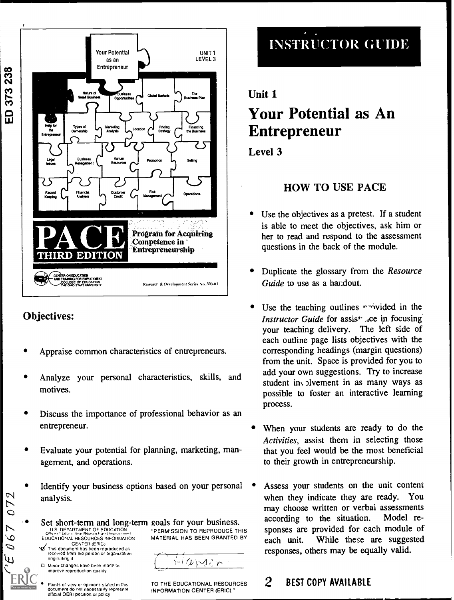

## Objectives:

- Appraise common characteristics of entrepreneurs.
- Analyze your personal characteristics, skills, and motives.
- Discuss the importance of professional behavior as an entrepreneur.
- Evaluate your potential for planning, marketing, management, and operations.
- Identify your business options based on your personal analysis.
- Set short-term and long-term goals for your business. U S. DEPARTMENT OF EDUCATION U.S. DEPARTMENT OF EDUCATION TO THE TRISP. TO REPRODUCE THIS SPONSES ATCOMISSION TO REPRODUCE THIS SPONSES ATCOMISSION TO REPRODUCE THIS SPONSES ATCOMISSION TO REPRODUCE THIS SPONSES ATCOMISSION TO REPRODUCE THIS SPONSES A EDUCATIONAL RESOURCES INFORMATION MATERIAL HAS BEEN GRANTED BY **cach**<br>Value of this document has been reproduced as *restitutional states* 
	- トレレトイピー

Points of view or opinions staled in this document do nol necessarily represent official OERI position or policy

received from the person or organization

Minor changes have been made In improve reproduction quality

ongIndIaig it

ト  $\overline{O}$ 

 $\overline{Q}$ D u۱

> TO THE EDUCATIONAL RESOURCES  $2$ INFORMATION CENTER (ERIC)"

# INSTRUCTOR GUIDE

# Unit 1 Your Potential as An Entrepreneur

Level 3

# HOW TO USE PACE

- Use the objectives as a pretest. If a student is able to meet the objectives, ask him or her to read and respond to the assessment questions in the back of the module.
- Duplicate the glossary from the Resource Guide to use as a handout.
- Use the teaching outlines  $r\rightarrow$  vided in the Instructor Guide for assist .ce in focusing your teaching delivery. The left side of each outline page lists objectives with the corresponding headings (margin questions) from the unit. Space is provided for you to add your own suggestions. Try to increase student in  $\sqrt{3}$ Ivement in as many ways as possible to foster an interactive learning process.
- When your students are ready to do the Activities, assist them in selecting those that you feel would be the most beneficial to their growth in entrepreneurship.
- Assess your students on the unit content when they indicate they are ready. You may choose written or verbal assessments according to the situation. Model responses are provided for each module of While these are suggested responses, others may be equally valid.

## 2 BEST COPY AVAILABLE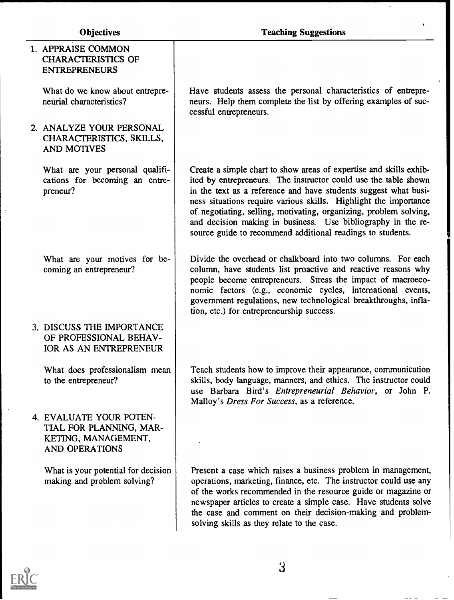l,

 $\bar{a}$ 

 $\Box$ 

| 1. APPRAISE COMMON<br><b>CHARACTERISTICS OF</b><br><b>ENTREPRENEURS</b>                     |                                                                                                                                                                                                                                                                                                                                                                                                                                                                                 |
|---------------------------------------------------------------------------------------------|---------------------------------------------------------------------------------------------------------------------------------------------------------------------------------------------------------------------------------------------------------------------------------------------------------------------------------------------------------------------------------------------------------------------------------------------------------------------------------|
| What do we know about entrepre-<br>neurial characteristics?                                 | Have students assess the personal characteristics of entrepre-<br>neurs. Help them complete the list by offering examples of suc-<br>cessful entrepreneurs.                                                                                                                                                                                                                                                                                                                     |
| 2. ANALYZE YOUR PERSONAL<br>CHARACTERISTICS, SKILLS,<br><b>AND MOTIVES</b>                  |                                                                                                                                                                                                                                                                                                                                                                                                                                                                                 |
| What are your personal qualifi-<br>cations for becoming an entre-<br>preneur?               | Create a simple chart to show areas of expertise and skills exhib-<br>ited by entrepreneurs. The instructor could use the table shown<br>in the text as a reference and have students suggest what busi-<br>ness situations require various skills. Highlight the importance<br>of negotiating, selling, motivating, organizing, problem solving,<br>and decision making in business. Use bibliography in the re-<br>source guide to recommend additional readings to students. |
| What are your motives for be-<br>coming an entrepreneur?                                    | Divide the overhead or chalkboard into two columns. For each<br>column, have students list proactive and reactive reasons why<br>people become entrepreneurs. Stress the impact of macroeco-<br>nomic factors (e.g., economic cycles, international events,<br>government regulations, new technological breakthroughs, infla-<br>tion, etc.) for entrepreneurship success.                                                                                                     |
| 3. DISCUSS THE IMPORTANCE<br>OF PROFESSIONAL BEHAV-<br>IOR AS AN ENTREPRENEUR               |                                                                                                                                                                                                                                                                                                                                                                                                                                                                                 |
| What does professionalism mean<br>to the entrepreneur?                                      | Teach students how to improve their appearance, communication<br>skills, body language, manners, and ethics. The instructor could<br>use Barbara Bird's Entrepreneurial Behavior, or John P.<br>Malloy's Dress For Success, as a reference.                                                                                                                                                                                                                                     |
| 4. EVALUATE YOUR POTEN-<br>TIAL FOR PLANNING, MAR-<br>KETING, MANAGEMENT,<br>AND OPERATIONS |                                                                                                                                                                                                                                                                                                                                                                                                                                                                                 |
| What is your potential for decision<br>making and problem solving?                          | Present a case which raises a business problem in management,<br>operations, marketing, finance, etc. The instructor could use any<br>of the works recommended in the resource guide or magazine or<br>newspaper articles to create a simple case. Have students solve<br>the case and comment on their decision-making and problem-<br>solving skills as they relate to the case.                                                                                              |
|                                                                                             |                                                                                                                                                                                                                                                                                                                                                                                                                                                                                 |

 $\overline{3}$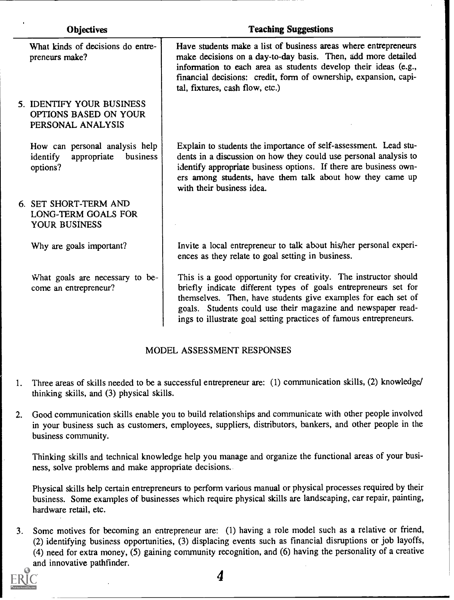| <b>Objectives</b> |                                                                                   | <b>Teaching Suggestions</b>                                                                                                                                                                                                                                                                                                                |  |
|-------------------|-----------------------------------------------------------------------------------|--------------------------------------------------------------------------------------------------------------------------------------------------------------------------------------------------------------------------------------------------------------------------------------------------------------------------------------------|--|
|                   | What kinds of decisions do entre-<br>preneurs make?                               | Have students make a list of business areas where entrepreneurs<br>make decisions on a day-to-day basis. Then, add more detailed<br>information to each area as students develop their ideas (e.g.,<br>financial decisions: credit, form of ownership, expansion, capi-<br>tal, fixtures, cash flow, etc.)                                 |  |
|                   | 5. IDENTIFY YOUR BUSINESS<br>OPTIONS BASED ON YOUR<br>PERSONAL ANALYSIS           |                                                                                                                                                                                                                                                                                                                                            |  |
|                   | How can personal analysis help<br>appropriate<br>business<br>identify<br>options? | Explain to students the importance of self-assessment. Lead stu-<br>dents in a discussion on how they could use personal analysis to<br>identify appropriate business options. If there are business own-<br>ers among students, have them talk about how they came up<br>with their business idea.                                        |  |
|                   | 6. SET SHORT-TERM AND<br><b>LONG-TERM GOALS FOR</b><br>YOUR BUSINESS              |                                                                                                                                                                                                                                                                                                                                            |  |
|                   | Why are goals important?                                                          | Invite a local entrepreneur to talk about his/her personal experi-<br>ences as they relate to goal setting in business.                                                                                                                                                                                                                    |  |
|                   | What goals are necessary to be-<br>come an entrepreneur?                          | This is a good opportunity for creativity. The instructor should<br>briefly indicate different types of goals entrepreneurs set for<br>themselves. Then, have students give examples for each set of<br>goals. Students could use their magazine and newspaper read-<br>ings to illustrate goal setting practices of famous entrepreneurs. |  |

#### MODEL ASSESSMENT RESPONSES

- 1. Three areas of skills needed to be a successful entrepreneur are: (1) communication skills, (2) knowledge/ thinking skills, and (3) physical skills.
- 2. Good communication skills enable you to build relationships and communicate with other people involved in your business such as customers, employees, suppliers, distributors, bankers, and other people in the business community.

Thinking skills and technical knowledge help you manage and organize the functional areas of your business, solve problems and make appropriate decisions..

Physical skills help certain entrepreneurs to perform various manual or physical processes required by their business. Some examples of businesses which require physical skills are landscaping, car repair, painting, hardware retail, etc.

3. Some motives for becoming an entrepreneur are: (1) having a role model such as a relative or friend, (2) identifying business opportunities, (3) displacing events such as financial disruptions or job layoffs, (4) need for extra money, (5) gaining community recognition, and (6) having the personality of a creative and innovative pathfinder.



4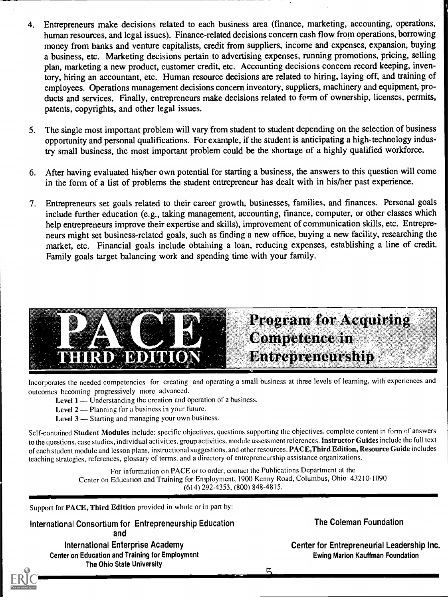- 4. Entrepreneurs make decisions related to each business area (finance, marketing, accounting, operations, human resources, and legal issues). Finance-related decisions concern cash flow from operations, borrowing money from banks and venture capitalists, credit from suppliers, income and expenses, expansion, buying a business, etc. Marketing decisions pertain to advertising expenses, running promotions, pricing, selling plan, marketing a new product, customer credit, etc. Accounting decisions concern record keeping, inventory, hiring an accountant, etc. Human resource decisions are related to hiring, laying off, and training of employees. Operations management decisions concern inventory, suppliers, machinery and equipment, products and services. Finally, entrepreneurs make decisions related to form of ownership, licenses, permits, patents, copyrights, and other legal issues.
- 5. The single most important problem will vary from student to student depending on the selection of business opportunity and personal qualifications. For example, if the student is anticipating a high-technology industry small business, the most important problem could be the shortage of a highly qualified workforce.
- 6. After having evaluated his/her own potential for starting a business, the answers to this question will come in the form of a list of problems the student entrepreneur has dealt with in his/her past experience.
- 7. Entrepreneurs set goals related to their career growth, businesses, families, and finances. Personal goals include further education (e.g., taking management, accounting, finance, computer, or other classes which help entrepreneurs improve their expertise and skills), improvement of communication skills, etc. Entrepreneurs might set business-related goals, such as finding a new office, buying a new facility, researching the market, etc. Financial goals include obtaining a loan, reducing expenses, establishing a line of credit. Family goals target balancing work and spending time with your family.



Incorporates the needed competencies for creating and operating a small business at three levels of learning, with experiences and outcomes becoming progressively more advanced.

Level  $1$  — Understanding the creation and operation of a business.

Level  $2$  — Planning for a business in your future.

Level  $3$  -- Starting and managing your own business.

Self-contained Student Modules include: specific objectives, questions supporting the objectives, complete content in form of answers to the questions. case studies, individual activities, group activities, module assessment references. Instructor Guides include the full text of each student module and lesson plans, instructional suggestions, and other resources. PACE,Third Edition, Resource Guide includes teaching strategies, references, glossary of terms, and a directory of entrepreneurship assistance organizations.

> For information on PACE or to order, contact the Publications Department at the Center on Education and Training for Employment, 1900 Kenny Road, Columbus, Ohio 43210-1090 (614) 292-4353, (800) 848-4815.

Support for PACE, Third Edition provided in whole or in part by:

International Consortium for Entrepreneurship Education and International Enterprise Academy Center on Education and Training for Employment

The Ohio State University

The Coleman Foundation

Center for Entrepreneurial Leadership Inc. Ewing Marion Kauffman Foundation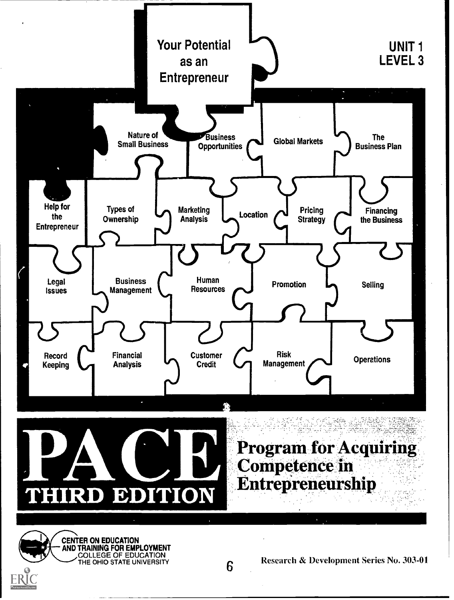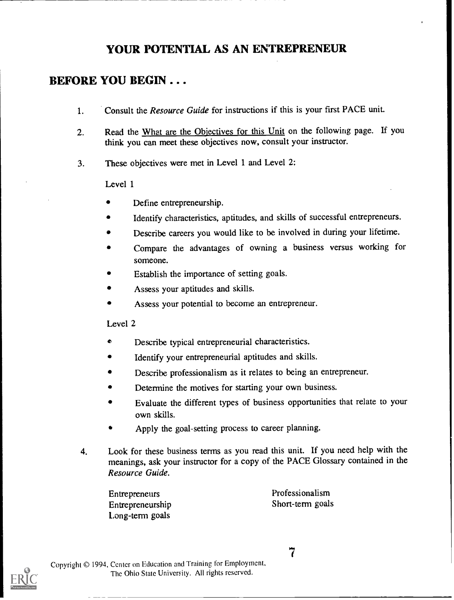# YOUR POTENTIAL AS AN ENTREPRENEUR

# BEFORE YOU BEGIN . . .

- 1. Consult the Resource Guide for instructions if this is your first PACE unit.
- 2. Read the What are the Objectives for this Unit on the following page. If you think you can meet these objectives now, consult your instructor.
- 3. These objectives were met in Level 1 and Level 2:

Level 1

- Define entrepreneurship.
- Identify characteristics, aptitudes, and skills of successful entrepreneurs.
- Describe careers you would like to be involved in during your lifetime.
- Compare the advantages of owning a business versus working for someone.
- Establish the importance of setting goals.
- Assess your aptitudes and skills.
- Assess your potential to become an entrepreneur.

Level 2

- Describe typical entrepreneurial characteristics. ó
- Identify your entrepreneurial aptitudes and skills.
- Describe professionalism as it relates to being an entrepreneur.
- Determine the motives for starting your own business.
- Evaluate the different types of business opportunities that relate to your own skills.
- Apply the goal-setting process to career planning.
- 4. Look for these business terms as you read this unit. If you need help with the meanings, ask your instructor for a copy of the PACE Glossary contained in the Resource Guide.

Entrepreneurship Long-term goals

Entrepreneurs Professionalism<br>
Entrepreneurship<br>
Short-term goals



7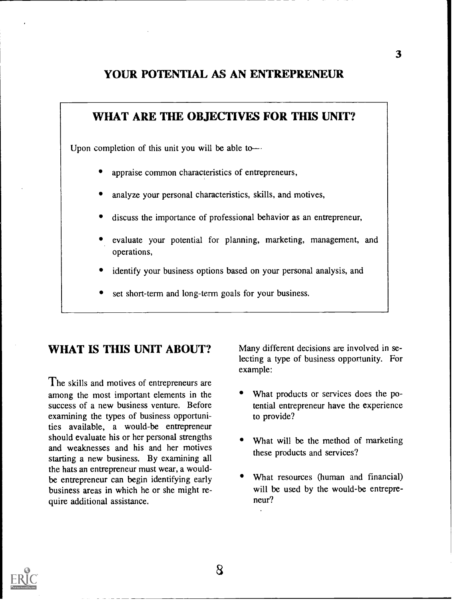### YOUR POTENTIAL AS AN ENTREPRENEUR

# WHAT ARE THE OBJECTIVES FOR THIS UNIT? Upon completion of this unit you will be able toappraise common characteristics of entrepreneurs, analyze your personal characteristics, skills, and motives, discuss the importance of professional behavior as an entrepreneur, evaluate your potential for planning, marketing, management, and operations, identify your business options based on your personal analysis, and set short-term and long-term goals for your business.

## WHAT IS THIS UNIT ABOUT?

The skills and motives of entrepreneurs are among the most important elements in the success of a new business venture. Before examining the types of business opportunities available, a would-be entrepreneur should evaluate his or her personal strengths and weaknesses and his and her motives starting a new business. By examining all the hats an entrepreneur must wear, a wouldbe entrepreneur can begin identifying early business areas in which he or she might require additional assistance.

Many different decisions are involved in selecting a type of business opportunity. For example:

- What products or services does the potential entrepreneur have the experience to provide?
- What will be the method of marketing these products and services?
- What resources (human and financial) will be used by the would-be entrepreneur?

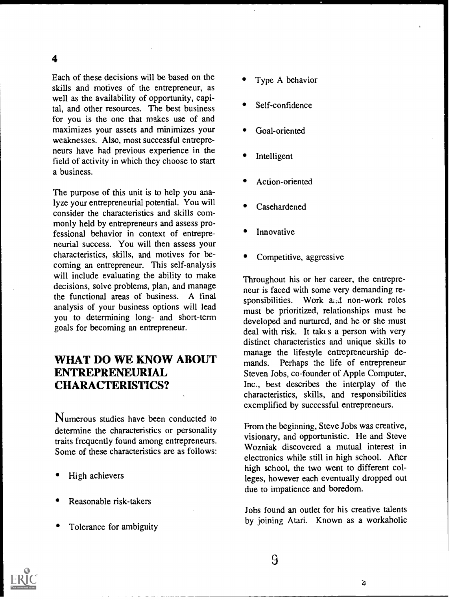Each of these decisions will be based on the skills and motives of the entrepreneur, as well as the availability of opportunity, capital, and other resources. The best business for you is the one that makes use of and maximizes your assets and minimizes your weaknesses. Also, most successful entrepreneurs have had previous experience in the field of activity in which they choose to start a business.

The purpose of this unit is to help you analyze your entrepreneurial potential. You will consider the characteristics and skills commonly held by entrepreneurs and assess professional behavior in context of entrepreneurial success. You will then assess your characteristics, skills, and motives for becoming an entrepreneur. This self-analysis will include evaluating the ability to make decisions, solve problems, plan, and manage the functional areas of business. A final analysis of your business options will lead you to determining long- and short-term goals for becoming an entrepreneur.

### WHAT DO WE KNOW ABOUT ENTREPRENEURIAL CHARACTERISTICS?

Numerous studies have been conducted to determine the characteristics or personality traits frequently found among entrepreneurs. Some of these characteristics are as follows:

- High achievers
- Reasonable risk-takers
- Tolerance for ambiguity
- Type A behavior
- Self-confidence
- Goal-oriented
- Intelligent
- Action-oriented
- Casehardened
- Innovative
- Competitive, aggressive

Throughout his or her career, the entrepreneur is faced with some very demanding responsibilities. Work and non-work roles must be prioritized, relationships must be developed and nurtured, and he or she must deal with risk. It takt s a person with very distinct characteristics and unique skills to manage the lifestyle entrepreneurship demands. Perhaps the life of entrepreneur Steven Jobs, co-founder of Apple Computer, Inc., best describes the interplay of the characteristics, skills, and responsibilities exemplified by successful entrepreneurs.

From the beginning, Steve Jobs was creative, visionary, and opportunistic. He and Steve Wozniak discovered a mutual interest in electronics while still in high school. After high school, the two went to different colleges, however each eventually dropped out due to impatience and boredom.

Jobs found an outlet for his creative talents by joining Atari. Known as a workaholic

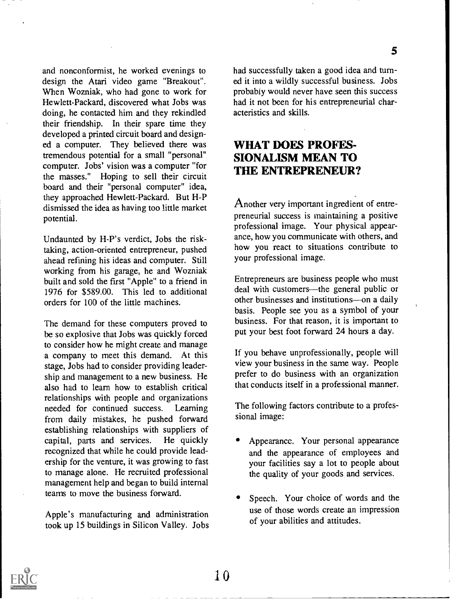and nonconformist, he worked evenings to design the Atari video game "Breakout". When Wozniak, who had gone to work for Hewlett-Packard, discovered what Jobs was doing, he contacted him and they rekindled

their friendship. In their spare time they developed a printed circuit board and designed a computer. They believed there was tremendous potential for a small "personal" computer. Jobs' vision was a computer "for the masses." Hoping to sell their circuit board and their "personal computer" idea, they approached Hewlett-Packard. But H-P dismissed the idea as having too little market potential.

Undaunted by H-P's verdict, Jobs the risktaking, action-oriented entrepreneur, pushed ahead refining his ideas and computer. Still working from his garage, he and Wozniak built and sold the first "Apple" to a friend in 1976 for \$589.00. This led to additional orders for 100 of the little machines.

The demand for these computers proved to be so explosive that Jobs was quickly forced to consider how he might create and manage a company to meet this demand. At this stage, Jobs had to consider providing leadership and management to a new business. He also had to learn how to establish critical relationships with people and organizations needed for continued success. Learning from daily mistakes, he pushed forward establishing relationships with suppliers of capital, parts and services. He quickly capital, parts and services. recognized that while he could provide leadership for the venture, it was growing to fast to manage alone. He recruited professional management help and began to build internal teams to move the business forward.

Apple's manufacturing and administration took up 15 buildings in Silicon Valley. Jobs had successfully taken a good idea and turned it into a wildly successful business. Jobs probably would never have seen this success had it not been for his entrepreneurial characteristics and skills.

5

### WHAT DOES PROFES-SIONALISM MEAN TO THE ENTREPRENEUR?

Another very important ingredient of entrepreneurial success is maintaining a positive professional image. Your physical appearance, how you communicate with others, and how you react to situations contribute to your professional image.

Entrepreneurs are business people who must deal with customers—the general public or other businesses and institutions---on a daily basis. People see you as a symbol of your business. For that reason, it is important to put your best foot forward 24 hours a day.

If you behave unprofessionally, people will view your business in the same way. People prefer to do business with an organization that conducts itself in a professional manner.

The following factors contribute to a professional image:

- Appearance. Your personal appearance and the appearance of employees and your facilities say a lot to people about the quality of your goods and services.
- Speech. Your choice of words and the use of those words create an impression of your abilities and attitudes.

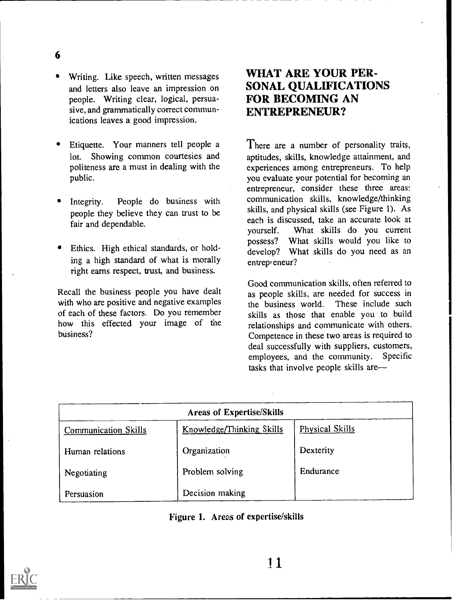Writing. Like speech, written messages and letters also leave an impression on people. Writing clear, logical, persuasive, and grammatically correct communications leaves a good impression.

6

- Etiquette. Your manners tell people a lot. Showing common courtesies and politeness are a must in dealing with the public.
- Integrity. People do business with people they believe they can trust to be fair and dependable.
- Ethics. High ethical standards, or holding a high standard of what is morally right earns respect, trust, and business.

Recall the business people you have dealt with who are positive and negative examples of each of these factors. Do you remember how this effected your image of the business?

# WHAT ARE YOUR PER-SONAL QUALIFICATIONS FOR BECOMING AN ENTREPRENEUR?

There are a number of personality traits, aptitudes, skills, knowledge attainment, and experiences among entrepreneurs. To help you evaluate your potential for becoming an entrepreneur, consider these three areas: communication skills, knowledge/thinking skills, and physical skills (see Figure 1). As each is discussed, take an accurate look at yourself. What skills do you current possess? What skills would you like to develop? What skills do you need as an entrepreneur?

Good communication skills. often referred to as people skills, are needed for success in the business world. These include such the business world. skills as those that enable you to build relationships and communicate with others. Competence in these two areas is required to deal successfully with suppliers, customers,<br>employees, and the community. Specific employees, and the community. tasks that involve people skills are

| <b>Areas of Expertise/Skills</b> |                           |                 |  |  |  |  |
|----------------------------------|---------------------------|-----------------|--|--|--|--|
| Communication Skills             | Knowledge/Thinking Skills | Physical Skills |  |  |  |  |
| Human relations                  | Organization              | Dexterity       |  |  |  |  |
| Negotiating                      | Problem solving           | Endurance       |  |  |  |  |
| Persuasion                       | Decision making           |                 |  |  |  |  |

#### Figure I. Areas of expertise/skills

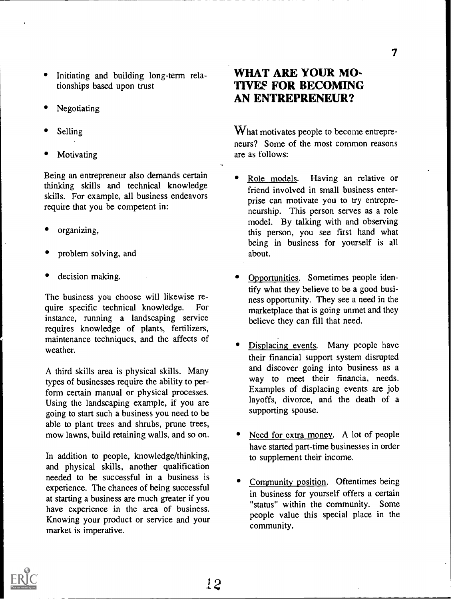- Initiating and building long-term relationships based upon trust
- Negotiating
- Selling
- Motivating

Being an entrepreneur also demands certain • Role models. thinking skills and technical knowledge skills. For example, all business endeavors require that you be competent in:

- organizing,
- problem solving, and
- decision making.

The business you choose will likewise require specific technical knowledge. For instance, running a landscaping service requires knowledge of plants, fertilizers, maintenance techniques, and the affects of weather.

A third skills area is physical skills. Many types of businesses require the ability to perform certain manual or physical processes. Using the landscaping example, if you are going to start such a business you need to be able to plant trees and shrubs, prune trees, mow lawns, build retaining walls, and so on.

In addition to people, knowledge/thinking, and physical skills, another qualification needed to be successful in a business is experience. The chances of being successful at starting a business are much greater if you have experience in the area of business. Knowing your product or service and your market is imperative.

# WHAT ARE YOUR MO-TIVES FOR BECOMING AN ENTREPRENEUR?

What motivates people to become entrepreneurs? Some of the most common reasons are as follows:

- Having an relative or friend involved in small business enterprise can motivate you to try entrepreneurship. This person serves as a role model. By talking with and observing this person, you see first hand what being in business for yourself is all about.
- Opportunities. Sometimes people identify what they believe to be a good business opportunity. They see a need in the marketplace that is going unmet and they believe they can fill that need.
- Displacing events. Many people have their financial support system disrupted and discover going into business as a way to meet their financia. needs. Examples of displacing events are job layoffs, divorce, and the death of a supporting spouse.
- Need for extra money. A lot of people have started part-time businesses in order to supplement their income.
- Community position. Oftentimes being in business for yourself offers a certain "status" within the community. Some people value this special place in the community.

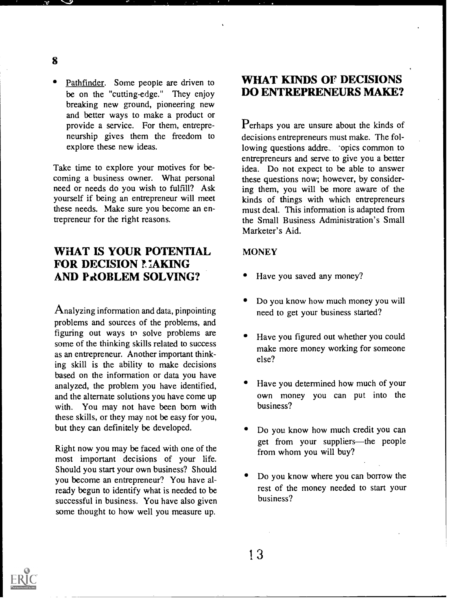- 8
- Pathfinder. Some people are driven to be on the "cutting-edge." They enjoy breaking new ground, pioneering new and better ways to make a product or provide a service. For them, entrepreneurship gives them the freedom to explore these new ideas.

Take time to explore your motives for becoming a business owner. What personal need or needs do you wish to fulfill? Ask yourself if being an entrepreneur will meet these needs. Make sure you become an entrepreneur for the right reasons.

### WHAT IS YOUR POTENTIAL FOR DECISION MAKING AND PROBLEM SOLVING?

Analyzing information and data, pinpointing problems and sources of the problems, and figuring out ways to solve problems are some of the thinking skills related to success as an entrepreneur. Another important thinking skill is the ability to make decisions based on the information or data you have analyzed, the problem you have identified, and the alternate solutions you have come up with. You may not have been born with these skills, or they may not be easy for you, but they can definitely be developed.

Right now you may be faced with one of the most important decisions of your life. Should you start your own business? Should you become an entrepreneur? You have already begun to identify what is needed to be successful in business. You have also given some thought to how well you measure up.

### WHAT KINDS OF DECISIONS DO ENTREPRENEURS MAKE?

Perhaps you are unsure about the kinds of decisions entrepreneurs must make. The following questions addre, 'opics common to entrepreneurs and serve to give you a better idea. Do not expect to be able to answer these questions now; however, by considering them, you will be more aware of the kinds of things with which entrepreneurs must deal. This information is adapted from the Small Business Administration's Small Marketer's Aid.

#### **MONEY**

- Have you saved any money?
- Do you know how much money you will need to get your business started?
- Have you figured out whether you could make more money working for someone else?
- Have you determined how much of your own money you can put into the business?
- Do you know how much credit you can get from your suppliers—the people from whom you will buy?
- Do you know where you can borrow the rest of the money needed to start your business?

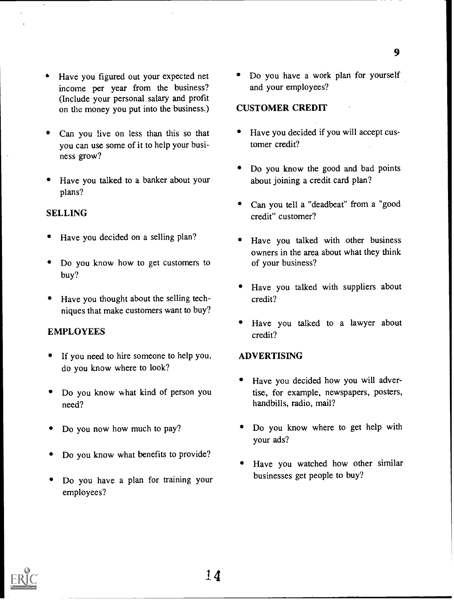- Have you figured out your expected net income per year from the business? (Include your personal salary and profit on the money you put into the business.)
- Can you live on less than this so that you can use some of it to help your business grow?
- Have you talked to a banker about your plans?

#### SELLING

- Have you decided on a selling plan?
- Do you know how to get customers to buy?
- Have you thought about the selling techniques that make customers want to buy?

#### EMPLOYEES

- If you need to hire someone to help you, do you know where to look?
- Do you know what kind of person you need?
- Do you now how much to pay?
- Do you know what benefits to provide?
- Do you have a plan for training your employees?

• Do you have a work plan for yourself and your employees?

#### CUSTOMER CREDIT

- Have you decided if you will accept customer credit?
- Do you know the good and bad points about joining a credit card plan?
- Can you tell a "deadbeat" from a "good credit" customer?
- Have you talked with other business owners in the area about what they think of your business?
- Have you talked with suppliers about credit?
- Have you talked to a lawyer about credit?

#### ADVERTISING

- Have you decided how you will advertise, for example, newspapers, posters, handbills, radio, mail?
- Do you know where to get help with your ads?
- Have you watched how other similar businesses get people to buy?

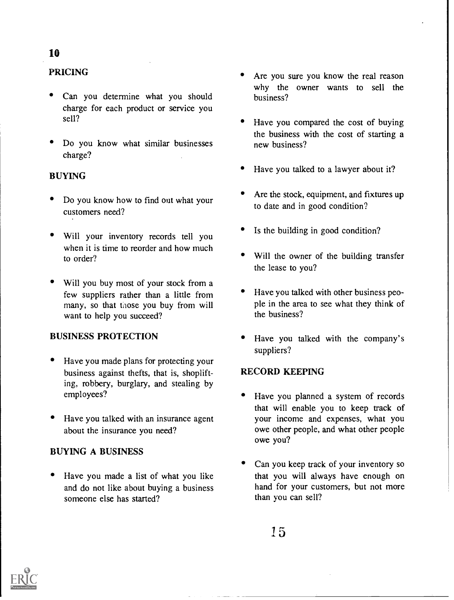### 10

### PRICING

- Can you determine what you should charge for each product or service you sell?
- Do you know what similar businesses charge?

### BUYING

- Do you know how to find out what your customers need?
- Will your inventory records tell you when it is time to reorder and how much to order?
- Will you buy most of your stock from a few suppliers rather than a little from many, so that those you buy from will want to help you succeed?

### BUSINESS PROTECTION

- Have you made plans for protecting your business against thefts, that is, shoplifting, robbery, burglary, and stealing by employees?
- Have you talked with an insurance agent about the insurance you need?

#### BUYING A BUSINESS

Have you made a list of what you like and do not like about buying a business someone else has started?

- Are you sure you know the real reason why the owner wants to sell the business?
- Have you compared the cost of buying the business with the cost of starting a new business?
- Have you talked to a lawyer about it?
- Are the stock, equipment, and fixtures up to date and in good condition?
- Is the building in good condition?
- Will the owner of the building transfer the lease to you?
- Have you talked with other business people in the area to see what they think of the business?
- Have you talked with the company's suppliers?

#### RECORD KEEPING

- Have you planned a system of records that will enable you to keep track of your income and expenses, what you owe other people, and what other people owe you?
- Can you keep track of your inventory so that you will always have enough on hand for your customers, but not more than you can sell?

15

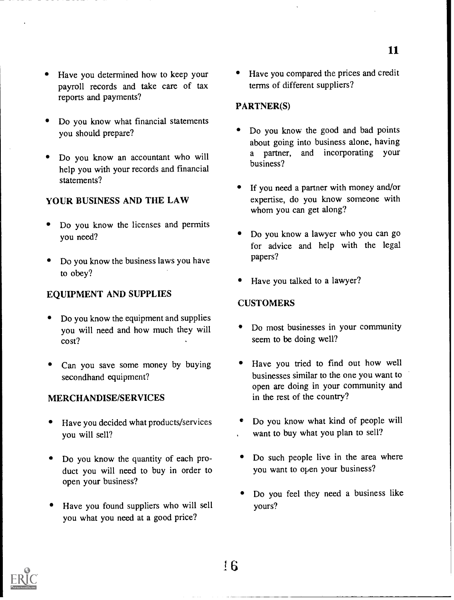- Have you determined how to keep your payroll records and take care of tax reports and payments?
- Do you know what financial statements you should prepare?
- Do you know an accountant who will help you with your records and financial statements?

#### YOUR BUSINESS AND THE LAW

- Do you know the licenses and permits you need?
- Do you know the business laws you have to obey?

#### EQUIPMENT AND SUPPLIES

- Do you know the equipment and supplies you will need and how much they will cost?
- Can you save some money by buying secondhand equipment?

#### MERCHANDISE/SERVICES

- Have you decided what products/services you will sell?
- Do you know the quantity of each product you will need to buy in order to open your business?
- Have you found suppliers who will sell you what you need at a good price?

• Have you compared the prices and credit terms of different suppliers?

#### PARTNER(S)

- Do you know the good and bad points about going into business alone, having<br>a partner, and incorporating your and incorporating your business?
- If you need a partner with money and/or expertise, do you know someone with whom you can get along?
- Do you know a lawyer who you can go for advice and help with the legal papers?
- Have you talked to a lawyer?

#### **CUSTOMERS**

- Do most businesses in your community seem to be doing well?
- Have you tried to find out how well businesses similar to the one you want to open are doing in your community and in the rest of the country?
- Do you know what kind of people will want to buy what you plan to sell?
- Do such people live in the area where you want to open your business?
- Do you feel they need a business like yours?



11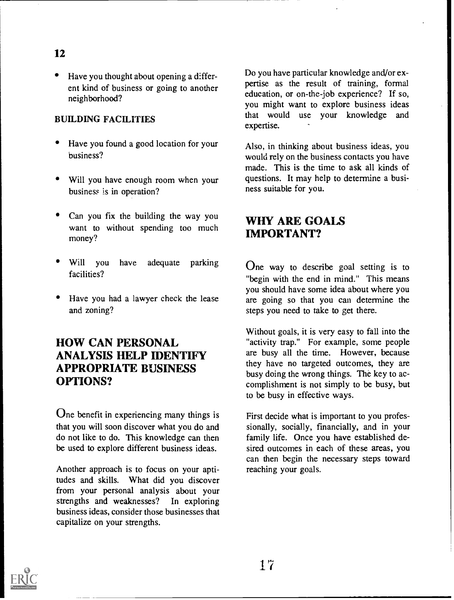- Have you thought about opening a differ-
- ent kind of business or going to another neighborhood?

#### BUILDING FACILITIES

- Have you found a good location for your business?
- Will you have enough room when your business is in operation?
- Can you fix the building the way you want to without spending too much money?
- Will you have adequate parking facilities?
- Have you had a lawyer check the lease and zoning?

# HOW CAN PERSONAL ANALYSIS HELP IDENTIFY APPROPRIATE BUSINESS OPTIONS?

One benefit in experiencing many things is that you will soon discover what you do and do not like to do. This knowledge can then be used to explore different business ideas.

Another approach is to focus on your aptitudes and skills. What did you discover from your personal analysis about your strengths and weaknesses? In exploring business ideas, consider those businesses that capitalize on your strengths.

Do you have particular knowledge and/or expertise as the result of training, formal education, or on-the-job experience? If so, you might want to explore business ideas that would use your knowledge and expertise.

Also, in thinking about business ideas, you would rely on the business contacts you have made. This is the time to ask all kinds of questions. It may help to determine a business suitable for you.

# WHY ARE GOALS IMPORTANT?

One way to describe goal setting is to "begin with the end in mind." This means you should have some idea about where you are going so that you can determine the steps you need to take to get there.

Without goals, it is very easy to fall into the "activity trap." For example, some people are busy all the time. However, because they have no targeted outcomes, they are busy doing the wrong things. The key to accomplishment is not simply to be busy, but to be busy in effective ways.

First decide what is important to you professionally, socially, financially, and in your family life. Once you have established desired outcomes in each of these areas, you can then begin the necessary steps toward reaching your goals.

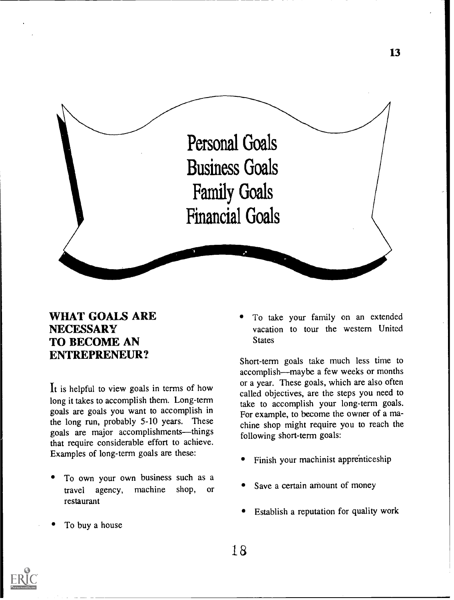

### WHAT GOALS ARE **NECESSARY** TO BECOME AN ENTREPRENEUR?

It is helpful to view goals in terms of how long it takes to accomplish them. Long-term goals are goals you want to accomplish in the long run, probably 5-10 years. These goals are major accomplishments—things that require considerable effort to achieve. Examples of long-term goals are these:

- To own your own business such as a travel agency, machine shop, or restaurant
- To buy a house

To take your family on an extended vacation to tour the western United **States** 

Short-term goals take much less time to accomplish—maybe a few weeks or months or a year. These goals, which are also often called objectives, are the steps you need to take to accomplish your long-term goals. For example, to become the owner of a machine shop might require you to reach the following short-term goals:

- Finish your machinist apprenticeship
- Save a certain amount of money
- Establish a reputation for quality work

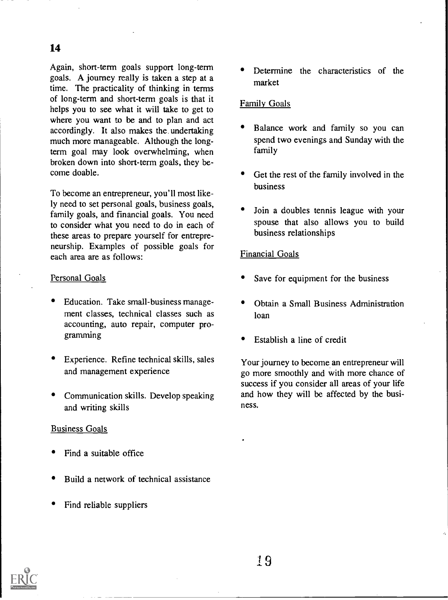Again, short-term goals support long-term goals. A journey really is taken a step at a time. The practicality of thinking in terms of long-term and short-term goals is that it helps you to see what it will take to get to where you want to be and to plan and act accordingly. It also makes the undertaking much more manageable. Although the longterm goal may look overwhelming, when broken down into short-term goals, they become doable.

To become an entrepreneur, you'll most likely need to set personal goals, business goals, family goals, and financial goals. You need to consider what you need to do in each of these areas to prepare yourself for entrepreneurship. Examples of possible goals for each area are as follows:

#### Personal Goals

- Education. Take small-business management classes, technical classes such as accounting, auto repair, computer programming
- Experience. Refine technical skills, sales and management experience
- Communication skills. Develop speaking and writing skills

#### Business Goals

- Find a suitable office
- Build a network of technical assistance
- Find reliable suppliers

Determine the characteristics of the market

#### Family Goals

- Balance work and family so you can spend two evenings and Sunday with the family
- Get the rest of the family involved in the business
- Join a doubles tennis league with your spouse that also allows you to build business relationships

#### Financial Goals

- Save for equipment for the business
- Obtain a Small Business Administration loan
- Establish a line of credit

Your journey to become an entrepreneur will go more smoothly and with more chance of success if you consider all areas of your life and how they will be affected by the business.

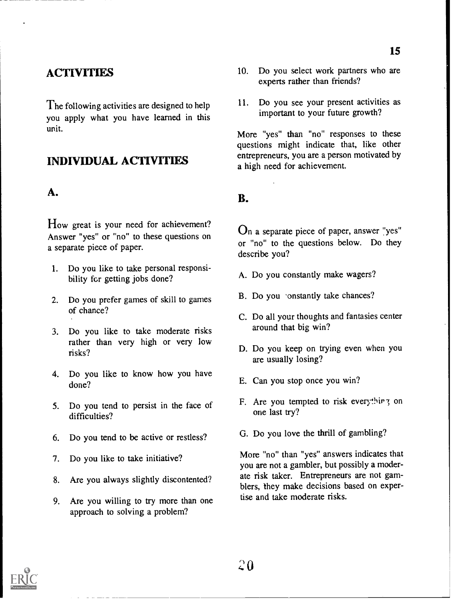# **ACTIVITIES**

The following activities are designed to help  $11.$ you apply what you have learned in this unit.

### INDIVIDUAL ACTIVITIES

### A.

How great is your need for achievement? Answer "yes" or "no" to these questions on a separate piece of paper.

- 1. Do you like to take personal responsibility fcr getting jobs done?
- 2. Do you prefer games of skill to games of chance?
- 3. Do you like to take moderate risks rather than very high or very low risks?
- 4. Do you like to know how you have done?
- 5. Do you tend to persist in the face of difficulties?
- 6. Do you tend to be active or restless?
- 7. Do you like to take initiative?
- 8. Are you always slightly discontented?
- 9. Are you willing to try more than one approach to solving a problem?
- 10. Do you select work partners who are experts rather than friends?
- Do you see your present activities as important to your future growth?

More "yes" than "no" responses to these questions might indicate that, like other entrepreneurs, you are a person motivated by a high need for achievement.

### B.

On a separate piece of paper, answer "yes" or "no" to the questions below. Do they describe you?

- A. Do you constantly make wagers?
- B. Do you constantly take chances?
- C. Do all your thoughts and fantasies center around that big win?
- D. Do you keep on trying even when you are usually losing?
- E. Can you stop once you win?
- F. Are you tempted to risk everything on one last try?
- G. Do you love the thrill of gambling?

More "no" than "yes" answers indicates that you are not a gambler, but possibly a moderate risk taker. Entrepreneurs are not gamblers, they make decisions based on expertise and take moderate risks.

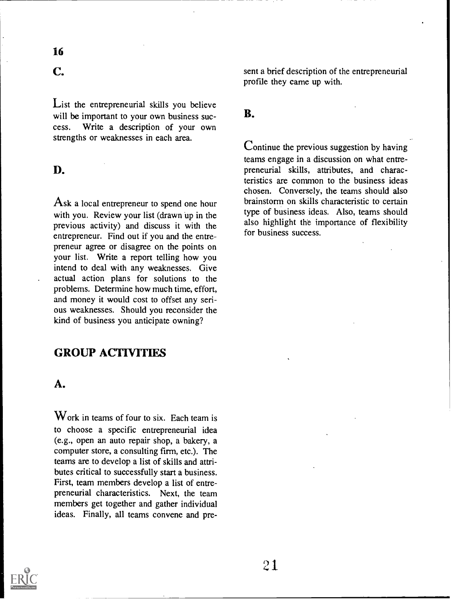### C.

List the entrepreneurial skills you believe will be important to your own business success. Write a description of your own strengths or weaknesses in each area.

### D.

Ask a local entrepreneur to spend one hour with you. Review your list (drawn up in the previous activity) and discuss it with the entrepreneur. Find out if you and the entrepreneur agree or disagree on the points on your list. Write a report telling how you intend to deal with any weaknesses. Give actual action plans for solutions to the problems. Determine how much time, effort, and money it would cost to offset any serious weaknesses. Should you reconsider the kind of business you anticipate owning?

### GROUP ACTIVITIFS

#### A.

Work in teams of four to six. Each team is to choose a specific entrepreneurial idea (e.g., open an auto repair shop, a bakery, a computer store, a consulting firm, etc.). The teams are to develop a list of skills and attributes critical to successfully start a business. First, team members develop a list of entrepreneurial characteristics. Next, the team members get together and gather individual ideas. Finally, all teams convene and present a brief description of the entrepreneurial profile they came up with.

#### B.

Continue the previous suggestion by having teams engage in a discussion on what entrepreneurial skills, attributes, and characteristics are common to the business ideas chosen. Conversely, the teams should also brainstorm on skills characteristic to certain type of business ideas. Also, teams should also highlight the importance of flexibility for business success.

![](_page_20_Picture_11.jpeg)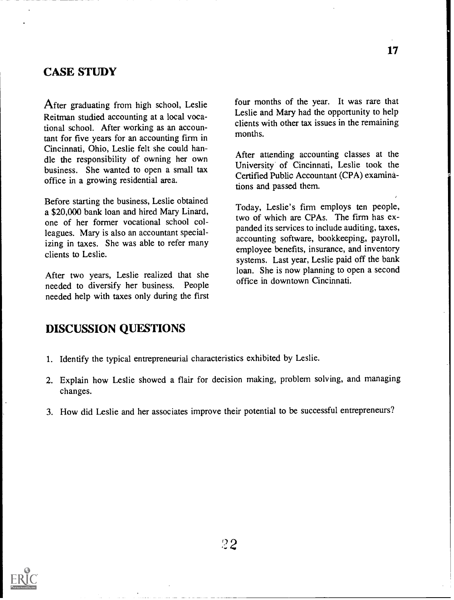### CASE STUDY

After graduating from high school, Leslie Reitman studied accounting at a local vocational school. After working as an accountant for five years for an accounting firm in Cincinnati, Ohio, Leslie felt she could handle the responsibility of owning her own business. She wanted to open a small tax office in a growing residential area.

Before starting the business, Leslie obtained a \$20,000 bank loan and hired Mary Linard, one of her former vocational school colleagues. Mary is also an accountant specializing in taxes. She was able to refer many clients to Leslie.

After two years, Leslie realized that she needed to diversify her business. People needed help with taxes only during the first four months of the year. It was rare that Leslie and Mary had the opportunity to help clients with other tax issues in the remaining months.

After attending accounting classes at the University of Cincinnati, Leslie took the Certified Public Accountant (CPA) examinations and passed them.

Today, Leslie's firm employs ten people, two of which are CPAs. The firm has expanded its services to include auditing, taxes, accounting software, bookkeeping, payroll, employee benefits, insurance, and inventory systems. Last year, Leslie paid off the bank loan. She is now planning to open a second office in downtown Cincinnati.

### DISCUSSION QUESTIONS

- 1. Identify the typical entrepreneurial characteristics exhibited by Leslie.
- 2. Explain how Leslie showed a flair for decision making, problem solving, and managing changes.
- 3. How did Leslie and her associates improve their potential to be successful entrepreneurs?

![](_page_21_Picture_11.jpeg)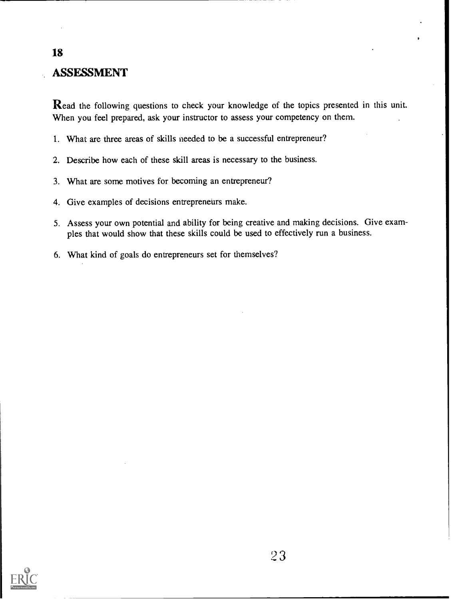# ASSESSMENT

Read the following questions to check your knowledge of the topics presented in this unit. When you feel prepared, ask your instructor to assess your competency on them.

- 1. What are three areas of skills needed to be a successful entrepreneur?
- 2. Describe how each of these skill areas is necessary to the business.
- 3. What are some motives for becoming an entrepreneur?
- 4. Give examples of decisions entrepreneurs make.
- 5. Assess your own potential and ability for being creative and making decisions. Give examples that would show that these skills could be used to effectively run a business.
- 6. What kind of goals do entrepreneurs set for themselves?

![](_page_22_Picture_8.jpeg)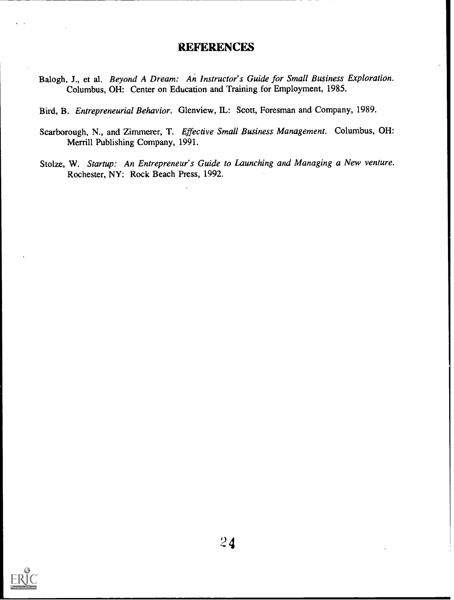### **REFERENCES**

- Balogh, J., et al. Beyond A Dream: An Instructor's Guide for Small Business Exploration. Columbus, OH: Center on Education and Training for Employment, 1985.
- Bird, B. Entrepreneurial Behavior. Glenview, IL: Scott, Foresman and Company, 1989.
- Scarborough, N., and Zimmerer, T. Effective Small Business Management. Columbus, OH: Merrill Publishing Company, 1991.
- Stolze, W. Startup: An Entrepreneur's Guide to Launching and Managing a New venture. Rochester, NY: Rock Beach Press, 1992.

![](_page_23_Picture_5.jpeg)